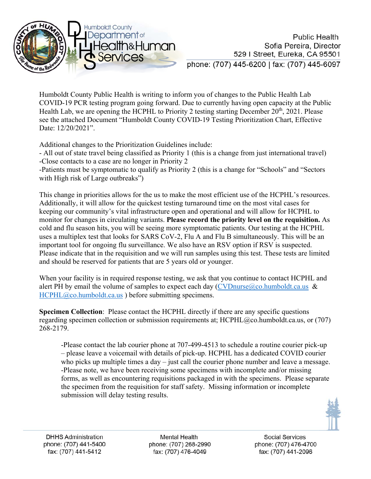

Humboldt County Public Health is writing to inform you of changes to the Public Health Lab COVID-19 PCR testing program going forward. Due to currently having open capacity at the Public Health Lab, we are opening the HCPHL to Priority 2 testing starting December  $20<sup>th</sup>$ , 2021. Please see the attached Document "Humboldt County COVID-19 Testing Prioritization Chart, Effective Date: 12/20/2021".

Additional changes to the Prioritization Guidelines include:

- All out of state travel being classified as Priority 1 (this is a change from just international travel) -Close contacts to a case are no longer in Priority 2

-Patients must be symptomatic to qualify as Priority 2 (this is a change for "Schools" and "Sectors with High risk of Large outbreaks")

This change in priorities allows for the us to make the most efficient use of the HCPHL's resources. Additionally, it will allow for the quickest testing turnaround time on the most vital cases for keeping our community's vital infrastructure open and operational and will allow for HCPHL to monitor for changes in circulating variants. **Please record the priority level on the requisition.** As cold and flu season hits, you will be seeing more symptomatic patients. Our testing at the HCPHL uses a multiplex test that looks for SARS CoV-2, Flu A and Flu B simultaneously. This will be an important tool for ongoing flu surveillance. We also have an RSV option if RSV is suspected. Please indicate that in the requisition and we will run samples using this test. These tests are limited and should be reserved for patients that are 5 years old or younger.

When your facility is in required response testing, we ask that you continue to contact HCPHL and alert PH by email the volume of samples to expect each day  $(CVDnurse@co.humboldt.ca.us \& )$  $(CVDnurse@co.humboldt.ca.us \& )$ [HCPHL@co.humboldt.ca.us](mailto:HCPHL@co.humboldt.ca.us) ) before submitting specimens.

**Specimen Collection**: Please contact the HCPHL directly if there are any specific questions regarding specimen collection or submission requirements at;  $HCPHL@co.humboldt.ca.us, or (707)$  $HCPHL@co.humboldt.ca.us, or (707)$ 268-2179.

-Please contact the lab courier phone at 707-499-4513 to schedule a routine courier pick-up – please leave a voicemail with details of pick-up. HCPHL has a dedicated COVID courier who picks up multiple times a day – just call the courier phone number and leave a message. -Please note, we have been receiving some specimens with incomplete and/or missing forms, as well as encountering requisitions packaged in with the specimens. Please separate the specimen from the requisition for staff safety. Missing information or incomplete submission will delay testing results.



**Mental Health** phone: (707) 268-2990 fax: (707) 476-4049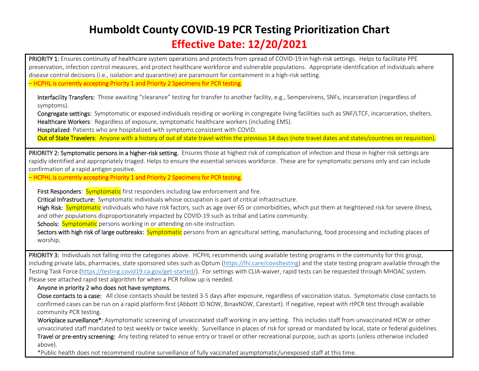## **Humboldt County COVID‐19 PCR Testing Prioritization Chart**

## **Effective Date: 12/20/2021**

PRIORITY 1: Ensures continuity of healthcare system operations and protects from spread of COVID-19 in high-risk settings. Helps to facilitate PPE preservation, infection control measures, and protect healthcare workforce and vulnerable populations. Appropriate identification of individuals where disease control decisions (i.e., isolation and quarantine) are paramount for containment in a high‐risk setting.

– HCPHL is currently accepting Priority 1 and Priority 2 Specimens for PCR testing.

Interfacility Transfers: Those awaiting "clearance" testing for transfer to another facility, e.g., Sempervirens, SNFs, incarceration (regardless of symptoms).

Congregate settings: Symptomatic or exposed individuals residing or working in congregate living facilities such as SNF/LTCF, incarceration, shelters. Healthcare Workers: Regardless of exposure, symptomatic healthcare workers (including EMS).

Hospitalized: Patients who are hospitalized with symptoms consistent with COVID.

Out of State Travelers: Anyone with a history of out of state travel within the previous 14 days (note travel dates and states/countries on requisition).

PRIORITY 2: Symptomatic persons in a higher-risk setting. Ensures those at highest risk of complication of infection and those in higher risk settings are rapidly identified and appropriately triaged. Helps to ensure the essential services workforce. These are for symptomatic persons only and can include confirmation of a rapid antigen positive.

– HCPHL is currently accepting Priority 1 and Priority 2 Specimens for PCR testing.

First Responders: **Symptomatic** first responders including law enforcement and fire.

Critical Infrastructure: Symptomatic individuals whose occupation is part of critical infrastructure.

High Risk: Symptomatic individuals who have risk factors, such as age over 65 or comorbidities, which put them at heightened risk for severe illness, and other populations disproportionately impacted by COVID‐19 such as tribal and Latinx community.

Schools: Symptomatic persons working in or attending on-site instruction.

Sectors with high risk of large outbreaks: Symptomatic persons from an agricultural setting, manufacturing, food processing and including places of worship.

PRIORITY 3: Individuals not falling into the categories above. HCPHL recommends using available testing programs in the community for this group, including private labs, pharmacies, state sponsored sites such as Optum (https://lhi.care/covidtesting) and the state testing program available through the Testing Task Force (https://testing.covid19.ca.gov/get‐started/). For settings with CLIA‐waiver, rapid tests can be requested through MHOAC system. Please see attached rapid test algorithm for when a PCR follow up is needed.

## Anyone in priority 2 who does not have symptoms.

Close contacts to a case: All close contacts should be tested 3-5 days after exposure, regardless of vaccination status. Symptomatic close contacts to confirmed cases can be run on a rapid platform first (Abbott ID NOW, BinaxNOW, Carestart). If negative, repeat with rtPCR test through available community PCR testing.

Workplace surveillance\*: Asymptomatic screening of unvaccinated staff working in any setting. This includes staff from unvaccinated HCW or other unvaccinated staff mandated to test weekly or twice weekly. Surveillance in places of risk for spread or mandated by local, state or federal guidelines.

Travel or pre-entry screening: Any testing related to venue entry or travel or other recreational purpose, such as sports (unless otherwise included above).

10.07.21

\*Public health does not recommend routine surveillance of fully vaccinated asymptomatic/unexposed staff at this time.